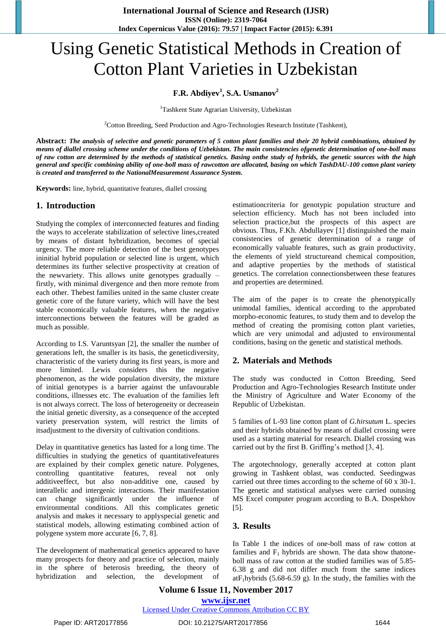# Using Genetic Statistical Methods in Creation of Cotton Plant Varieties in Uzbekistan

#### **F.R. Abdiyev<sup>1</sup> , S.A. Usmanov<sup>2</sup>**

<sup>1</sup>Tashkent State Agrarian University, Uzbekistan

<sup>2</sup>Cotton Breeding, Seed Production and Agro-Technologies Research Institute (Tashkent),

**Abstract:** *The analysis of selective and genetic parameters of 5 cotton plant families and their 20 hybrid combinations, obtained by means of diallel crossing scheme under the conditions of Uzbekistan. The main consistencies ofgenetic determination of one-boll mass of raw cotton are determined by the methods of statistical genetics. Basing onthe study of hybrids, the genetic sources with the high general and specific combining ability of one-boll mass of rawcotton are allocated, basing on which TashDAU-100 cotton plant variety is created and transferred to the NationalMeasurement Assurance System.*

**Keywords:** line, hybrid, quantitative features, diallel crossing

#### **1. Introduction**

Studying the complex of interconnected features and finding the ways to accelerate stabilization of selective lines,created by means of distant hybridization, becomes of special urgency. The more reliable detection of the best genotypes ininitial hybrid population or selected line is urgent, which determines its further selective prospectivity at creation of the newvariety. This allows unite genotypes gradually – firstly, with minimal divergence and then more remote from each other. Thebest families united in the same cluster create genetic core of the future variety, which will have the best stable economically valuable features, when the negative interconnections between the features will be graded as much as possible.

According to I.S. Varuntsyan [2], the smaller the number of generations left, the smaller is its basis, the geneticdiversity, characteristic of the variety during its first years, is more and more limited. Lewis considers this the negative phenomenon, as the wide population diversity, the mixture of initial genotypes is a barrier against the unfavourable conditions, illnesses etc. The evaluation of the families left is not always correct. The loss of heterogeneity or decreasein the initial genetic diversity, as a consequence of the accepted variety preservation system, will restrict the limits of itsadjustment to the diversity of cultivation conditions.

Delay in quantitative genetics has lasted for a long time. The difficulties in studying the genetics of quantitativefeatures are explained by their complex genetic nature. Polygenes, controlling quantitative features, reveal not only additiveeffect, but also non-additive one, caused by interallelic and intergenic interactions. Their manifestation can change significantly under the influence of environmental conditions. All this complicates genetic analysis and makes it necessary to applyspecial genetic and statistical models, allowing estimating combined action of polygene system more accurate [6, 7, 8].

The development of mathematical genetics appeared to have many prospects for theory and practice of selection, mainly in the sphere of heterosis breeding, the theory of hybridization and selection, the development of estimationcriteria for genotypic population structure and selection efficiency. Much has not been included into selection practice,but the prospects of this aspect are obvious. Thus, F.Kh. Abdullayev [1] distinguished the main consistencies of genetic determination of a range of economically valuable features, such as grain productivity, the elements of yield structureand chemical composition, and adaptive properties by the methods of statistical genetics. The correlation connectionsbetween these features and properties are determined.

The aim of the paper is to create the phenotypically unimodal families, identical according to the approbated morpho-economic features, to study them and to develop the method of creating the promising cotton plant varieties, which are very unimodal and adjusted to environmental conditions, basing on the genetic and statistical methods.

#### **2. Materials and Methods**

The study was conducted in Cotton Breeding, Seed Production and Agro-Technologies Research Institute under the Ministry of Agriculture and Water Economy of the Republic of Uzbekistan.

5 families of L-93 line cotton plant of *G.hirsutum* L. species and their hybrids obtained by means of diallel crossing were used as a starting material for research. Diallel crossing was carried out by the first B. Griffing's method [3, 4].

The argotechnology, generally accepted at cotton plant growing in Tashkent oblast, was conducted. Seedingwas carried out three times according to the scheme of 60 x 30-1. The genetic and statistical analyses were carried outusing MS Excel computer program according to B.A. Dospekhov [5].

#### **3. Results**

In Table 1 the indices of one-boll mass of raw cotton at families and  $F_1$  hybrids are shown. The data show thatoneboll mass of raw cotton at the studied families was of 5.85- 6.38 g and did not differ much from the same indices  $atF_1$ hybrids (5.68-6.59 g). In the study, the families with the

## **Volume 6 Issue 11, November 2017 <www.ijsr.net>**

[Licensed Under Creative Commons Attribution CC BY](http://creativecommons.org/licenses/by/4.0/)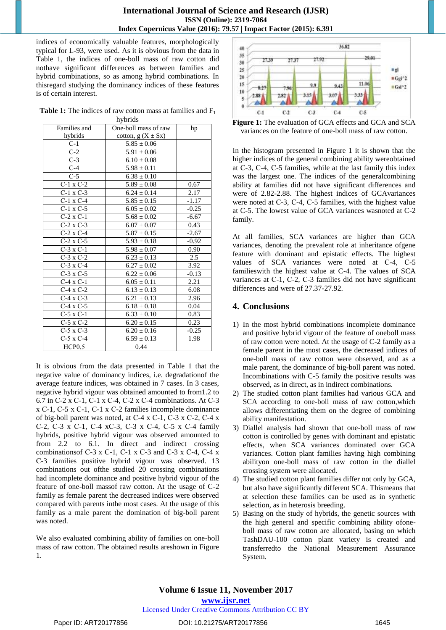indices of economically valuable features, morphologically typical for L-93, were used. As it is obvious from the data in Table 1, the indices of one-boll mass of raw cotton did nothave significant differences as between families and hybrid combinations, so as among hybrid combinations. In thisregard studying the dominancy indices of these features is of certain interest.

**Table 1:** The indices of raw cotton mass at families and  $F_1$ hybrids

| nyorias          |                       |         |
|------------------|-----------------------|---------|
| Families and     | One-boll mass of raw  | hp      |
| hybrids          | cotton, $g(X \pm Sx)$ |         |
| $C-1$            | $5.85 \pm 0.06$       |         |
| $C-2$            | $5.91 \pm 0.06$       |         |
| $C-3$            | $6.10 \pm 0.08$       |         |
| $C-4$            | $5.98 \pm 0.11$       |         |
| $C-5$            | $6.38 \pm 0.10$       |         |
| $C-1$ x $C-2$    | $5.89 \pm 0.08$       | 0.67    |
| $C-1$ x $C-3$    | $6.24 \pm 0.14$       | 2.17    |
| $C-1$ x $C-4$    | $5.85 \pm 0.15$       | $-1.17$ |
| $C-1$ x $C-5$    | $6.05 \pm 0.02$       | $-0.25$ |
| $C-2 \times C-1$ | $5.68 \pm 0.02$       | $-6.67$ |
| $C-2 \times C-3$ | $6.07 \pm 0.07$       | 0.43    |
| $C-2$ x $C-4$    | $5.87 \pm 0.15$       | $-2.67$ |
| $C-2$ x $C-5$    | $5.93 \pm 0.18$       | $-0.92$ |
| $C-3$ x $C-1$    | $5.98 \pm 0.07$       | 0.90    |
| $C-3$ x $C-2$    | $6.23 \pm 0.13$       | 2.5     |
| $C-3$ x $C-4$    | $6.27 \pm 0.02$       | 3.92    |
| $C-3$ x $C-5$    | $6.22 \pm 0.06$       | $-0.13$ |
| $C-4$ x $C-1$    | $6.05 \pm 0.11$       | 2.21    |
| $C-4$ x $C-2$    | $6.13 \pm 0.13$       | 6.08    |
| $C-4$ x $C-3$    | $6.21 \pm 0.13$       | 2.96    |
| $C-4$ x $C-5$    | $6.18 \pm 0.18$       | 0.04    |
| $C-5$ x $C-1$    | $6.33 \pm 0.10$       | 0.83    |
| $C-5$ x $C-2$    | $6.20 \pm 0.15$       | 0.23    |
| $C-5$ x $C-3$    | $6.20 \pm 0.16$       | $-0.25$ |
| $C-5$ x $C-4$    | $6.59 \pm 0.13$       | 1.98    |
| HCP0.5           | 0.44                  |         |
|                  |                       |         |

It is obvious from the data presented in Table 1 that the negative value of dominancy indices, i.e. degradationof the average feature indices, was obtained in 7 cases. In 3 cases, negative hybrid vigour was obtained amounted to from1.2 to 6.7 in С-2 x С-1, С-1 x С-4, С-2 x С-4 combinations. At С-3 x С-1, С-5 x С-1, С-1 x С-2 families incomplete dominance of big-boll parent was noted, at С-4 x С-1, С-3 x С-2, С-4 x С-2, С-3 x С-1, С-4 xС-3, С-3 x С-4, С-5 x С-4 family hybrids, positive hybrid vigour was observed amounted to from 2.2 to 6.1. In direct and indirect crossing combinationsof С-3 x С-1, С-1 x С-3 and С-3 x С-4, С-4 x С-3 families positive hybrid vigour was observed. 13 combinations out ofthe studied 20 crossing combinations had incomplete dominance and positive hybrid vigour of the feature of one-boll massof raw cotton. At the usage of C-2 family as female parent the decreased indices were observed compared with parents inthe most cases. At the usage of this family as a male parent the domination of big-boll parent was noted.

We also evaluated combining ability of families on one-boll mass of raw cotton. The obtained results areshown in Figure 1.



**Figure 1:** The evaluation of GCA effects and GCA and SCA variances on the feature of one-boll mass of raw cotton.

In the histogram presented in Figure 1 it is shown that the higher indices of the general combining ability wereobtained at С-3, С-4, С-5 families, while at the last family this index was the largest one. The indices of the generalcombining ability at families did not have significant differences and were of 2.82-2.88. The highest indices of GCAvariances were noted at C-3, C-4, C-5 families, with the highest value at C-5. The lowest value of GCA variances wasnoted at C-2 family.

At all families, SCA variances are higher than GCA variances, denoting the prevalent role at inheritance ofgene feature with dominant and epistatic effects. The highest values of SCA variances were noted at С-4, С-5 familieswith the highest value at C-4. The values of SCA variances at C-1, C-2, C-3 families did not have significant differences and were of 27.37-27.92.

### **4. Conclusions**

- 1) In the most hybrid combinations incomplete dominance and positive hybrid vigour of the feature of oneboll mass of raw cotton were noted. At the usage of C-2 family as a female parent in the most cases, the decreased indices of one-boll mass of raw cotton were observed, and as a male parent, the dominance of big-boll parent was noted. Incombinations with C-5 family the positive results was observed, as in direct, as in indirect combinations.
- 2) The studied cotton plant families had various GCA and SCA according to one-boll mass of raw cotton,which allows differentiating them on the degree of combining ability manifestation.
- 3) Diallel analysis had shown that one-boll mass of raw cotton is controlled by genes with dominant and epistatic effects, when SCA variances dominated over GCA variances. Cotton plant families having high combining abilityon one-boll mass of raw cotton in the diallel crossing system were allocated.
- 4) The studied cotton plant families differ not only by GCA, but also have significantly different SCA. Thismeans that at selection these families can be used as in synthetic selection, as in heterosis breeding.
- 5) Basing on the study of hybrids, the genetic sources with the high general and specific combining ability ofoneboll mass of raw cotton are allocated, basing on which TashDAU-100 cotton plant variety is created and transferredto the National Measurement Assurance System.

# **Volume 6 Issue 11, November 2017**

**<www.ijsr.net>** [Licensed Under Creative Commons Attribution CC BY](http://creativecommons.org/licenses/by/4.0/)